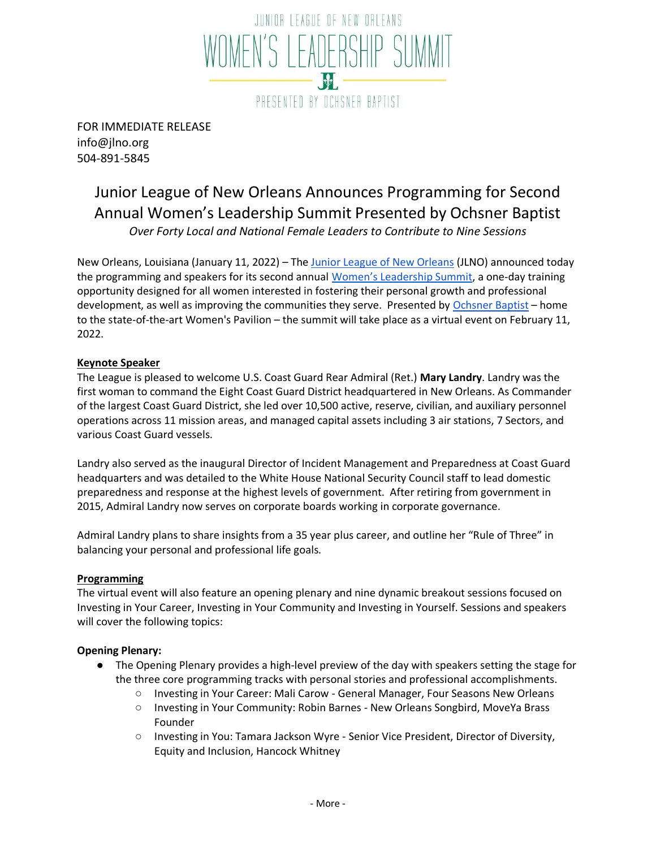

FOR IMMEDIATE RELEASE info@jlno.org 504-891-5845

# Junior League of New Orleans Announces Programming for Second Annual Women's Leadership Summit Presented by Ochsner Baptist *Over Forty Local and National Female Leaders to Contribute to Nine Sessions*

New Orleans, Louisiana (January 11, 2022) – The [Junior League of New Orleans](http://www.jlno.org/) (JLNO) announced today the programming and speakers for its second annual [Women's Leadership Summit](http://www.jlno.org/wls), a one-day training opportunity designed for all women interested in fostering their personal growth and professional development, as well as improving the communities the[y](https://www.ochsner.org/locations/ochsner-baptist?utm_source=YextGoogle&utm_medium=Yext) serve. Presented by [Ochsner Baptist](https://www.ochsner.org/locations/ochsner-baptist?utm_source=YextGoogle&utm_medium=Yext) – home to the state-of-the-art Women's Pavilion – the summit will take place as a virtual event on February 11, 2022.

## **Keynote Speaker**

The League is pleased to welcome U.S. Coast Guard Rear Admiral (Ret.) **Mary Landry**. Landry was the first woman to command the Eight Coast Guard District headquartered in New Orleans. As Commander of the largest Coast Guard District, she led over 10,500 active, reserve, civilian, and auxiliary personnel operations across 11 mission areas, and managed capital assets including 3 air stations, 7 Sectors, and various Coast Guard vessels.

Landry also served as the inaugural Director of Incident Management and Preparedness at Coast Guard headquarters and was detailed to the White House National Security Council staff to lead domestic preparedness and response at the highest levels of government. After retiring from government in 2015, Admiral Landry now serves on corporate boards working in corporate governance.

Admiral Landry plans to share insights from a 35 year plus career, and outline her "Rule of Three" in balancing your personal and professional life goals.

## **Programming**

The virtual event will also feature an opening plenary and nine dynamic breakout sessions focused on Investing in Your Career, Investing in Your Community and Investing in Yourself. Sessions and speakers will cover the following topics:

## **Opening Plenary:**

- The Opening Plenary provides a high-level preview of the day with speakers setting the stage for the three core programming tracks with personal stories and professional accomplishments.
	- Investing in Your Career: Mali Carow General Manager, Four Seasons New Orleans
	- Investing in Your Community: Robin Barnes New Orleans Songbird, MoveYa Brass Founder
	- Investing in You: Tamara Jackson Wyre Senior Vice President, Director of Diversity, Equity and Inclusion, Hancock Whitney